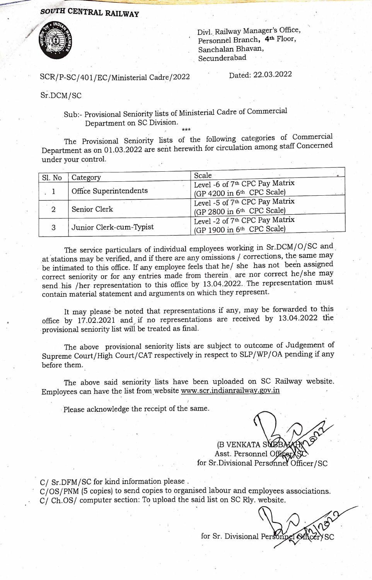## soUTH CENTRAL RAILWAY



Divl. Railway Manager's Office, Personnel Branch, 4th Floor, Sanchalan Bhavan, Secunderabad

## SCR/P-SC/401/EC/Ministerial Cadre/2022 Dated: 22.03.2022

Sr.DCM/SC

Sub:- Provisional Seniority lists of Ministerial Cadre of Commercial Department on SC Division.

\*\* The Provisional Seniority lists of the following categories of Commercial Department as on 01.03.2022 are sent herewith for circulation among staff Concerned under your control.

| Sl. No                 | Category                | Scale                                                                    |  |  |  |  |  |
|------------------------|-------------------------|--------------------------------------------------------------------------|--|--|--|--|--|
| Office Superintendents |                         | Level -6 of 7 <sup>th</sup> CPC Pay Matrix<br>(GP 4200 in 6th CPC Scale) |  |  |  |  |  |
| 2                      | Senior Clerk            | Level -5 of 7th CPC Pay Matrix<br>(GP 2800 in 6th CPC Scale)             |  |  |  |  |  |
| 3                      | Junior Clerk-cum-Typist | Level -2 of 7th CPC Pay Matrix<br>(GP 1900 in 6th CPC Scale)             |  |  |  |  |  |

The service particulars of individual employees working in Sr.DCM/O/SC and at stations may be verified, and if there are any omissions  $/$  corrections, the same may be intimated to this office. If any employee feels that he/ she has not been assigned correct seniority or for any entries made from therein are nor correct he/she may send his /her representation to this office by 13.04.2022. The representation must contain material statement and arguments on which they represent.

It may please be noted that representations if any, may be forwarded to this office by 17.02.2021 and if no representations are received by 13.04.2022 the provisiornal seniority list will be treated as final.

The above provisional seniority lists are subject to outcome of Judgement of Supreme Court/High Court/CAT respectively in respect to SLP/WP/OA pending if any before them.

The above said seniority lists have been uploaded on SC Railway website. Employees can have the list from website www.scr.indianrailway.gov.in

Please acknowledge the receipt of the same.

Asst. Personnel Office  $\chi_{\alpha}$ (B VENKATA SNBE

for Sr.Divisional Personnel Officer/SC

C/ Sr.DFM/SC for kind information please.

C/OS/PNM (5 copies) to send copies to organised labour and employees associations.  $C/$  Ch.OS/ computer section: To upload the said list on SC Rly. website.

for Sr. Divisional Personnel Of